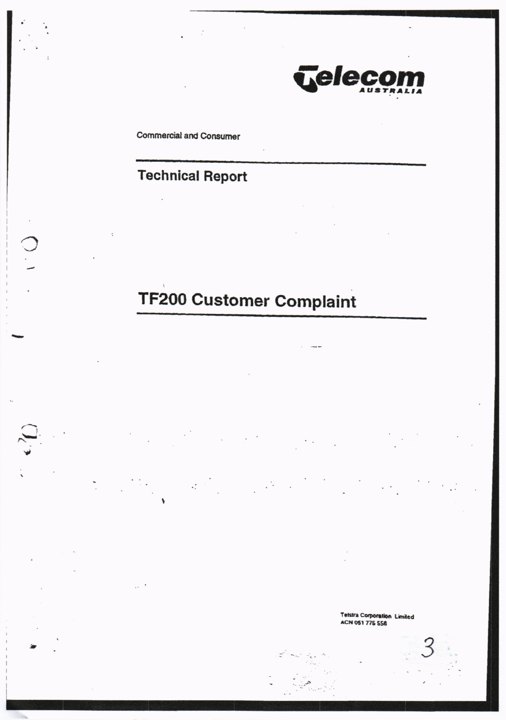

**Commercial and Consumer** 

## **Technical Report**

 $\sim 2$ 

# **TF200 Customer Complaint**

 $\sim$ 

Telstra Corporation Limited ACN 051 775 556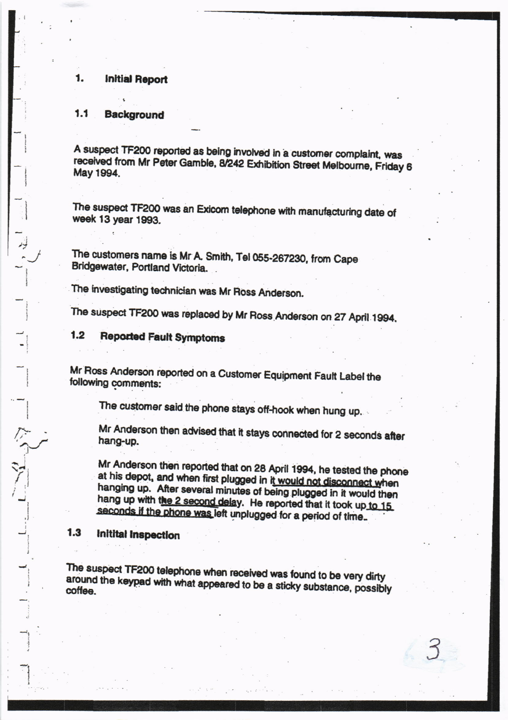#### **Initial Report** 1.

#### $1.1$ **Background**

 $\frac{1}{2}$ 

三个小

A suspect TF200 reported as being involved in a customer complaint, was received from Mr Peter Gamble, 8/242 Exhibition Street Melbourne, Friday 6 May 1994.

The suspect TF200 was an Exicom telephone with manufacturing date of week 13 year 1993.

The customers name is Mr A. Smith, Tel 055-267230, from Cape Bridgewater, Portland Victoria.

The investigating technician was Mr Ross Anderson.

The suspect TF200 was replaced by Mr Ross Anderson on 27 April 1994.

 $1.2$ **Reported Fault Symptoms** 

Mr Ross Anderson reported on a Customer Equipment Fault Label the following comments:

The customer said the phone stays off-hook when hung up.

Mr Anderson then advised that it stays connected for 2 seconds after hang-up.

Mr Anderson then reported that on 28 April 1994, he tested the phone at his depot, and when first plugged in it would not disconnect when hanging up. After several minutes of being plugged in it would then hang up with the 2 second delay. He reported that it took up to 15 seconds if the phone was left unplugged for a period of time.

 $1.3$ **Initital Inspection** 

The suspect TF200 telephone when received was found to be very dirty around the keypad with what appeared to be a sticky substance, possibly